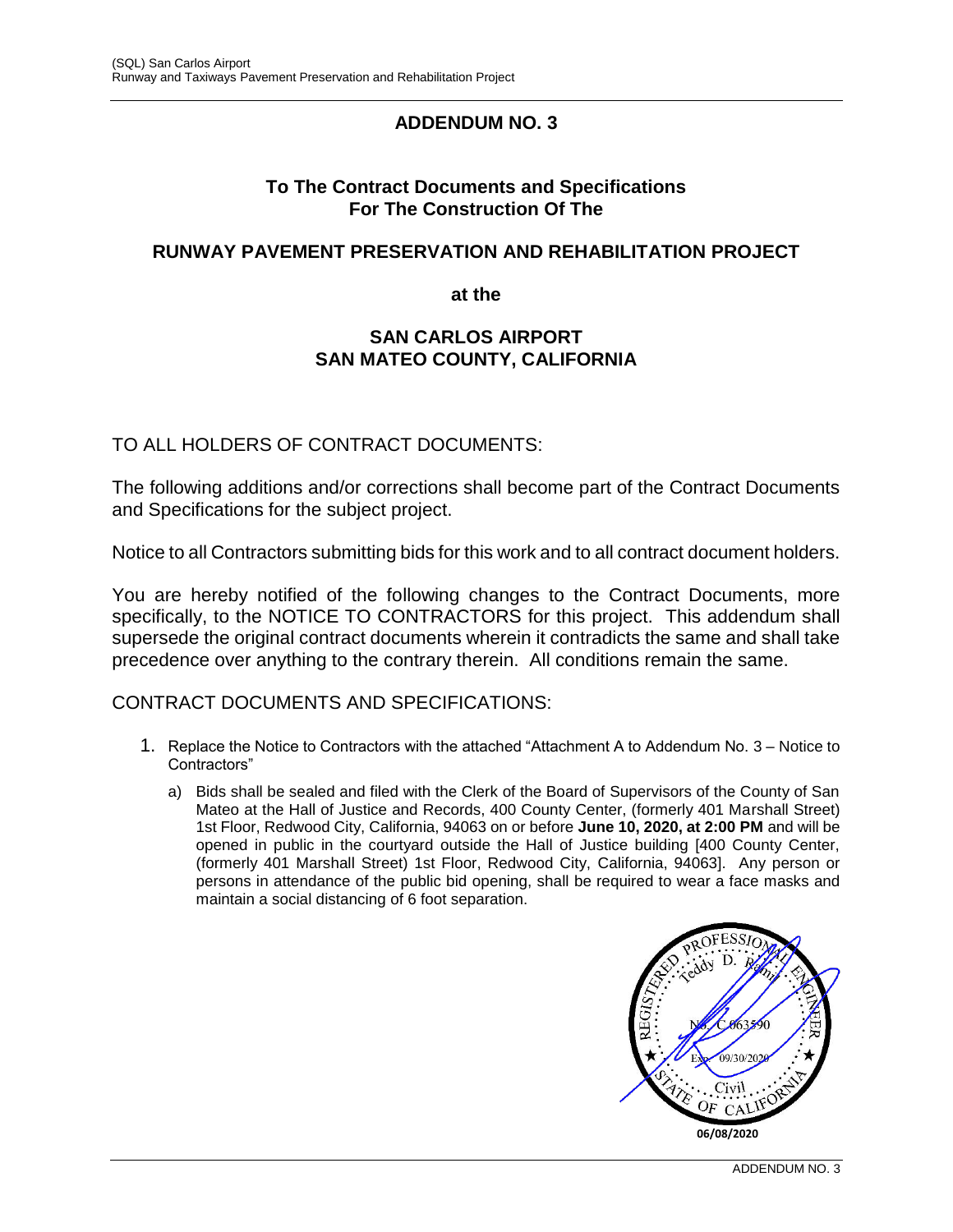# **ADDENDUM NO. 3**

#### **To The Contract Documents and Specifications For The Construction Of The**

#### **RUNWAY PAVEMENT PRESERVATION AND REHABILITATION PROJECT**

**at the**

#### **SAN CARLOS AIRPORT SAN MATEO COUNTY, CALIFORNIA**

### TO ALL HOLDERS OF CONTRACT DOCUMENTS:

The following additions and/or corrections shall become part of the Contract Documents and Specifications for the subject project.

Notice to all Contractors submitting bids for this work and to all contract document holders.

You are hereby notified of the following changes to the Contract Documents, more specifically, to the NOTICE TO CONTRACTORS for this project. This addendum shall supersede the original contract documents wherein it contradicts the same and shall take precedence over anything to the contrary therein. All conditions remain the same.

#### CONTRACT DOCUMENTS AND SPECIFICATIONS:

- 1. Replace the Notice to Contractors with the attached "Attachment A to Addendum No. 3 Notice to Contractors"
	- a) Bids shall be sealed and filed with the Clerk of the Board of Supervisors of the County of San Mateo at the Hall of Justice and Records, 400 County Center, (formerly 401 Marshall Street) 1st Floor, Redwood City, California, 94063 on or before **June 10, 2020, at 2:00 PM** and will be opened in public in the courtyard outside the Hall of Justice building [400 County Center, (formerly 401 Marshall Street) 1st Floor, Redwood City, California, 94063]. Any person or persons in attendance of the public bid opening, shall be required to wear a face masks and maintain a social distancing of 6 foot separation.

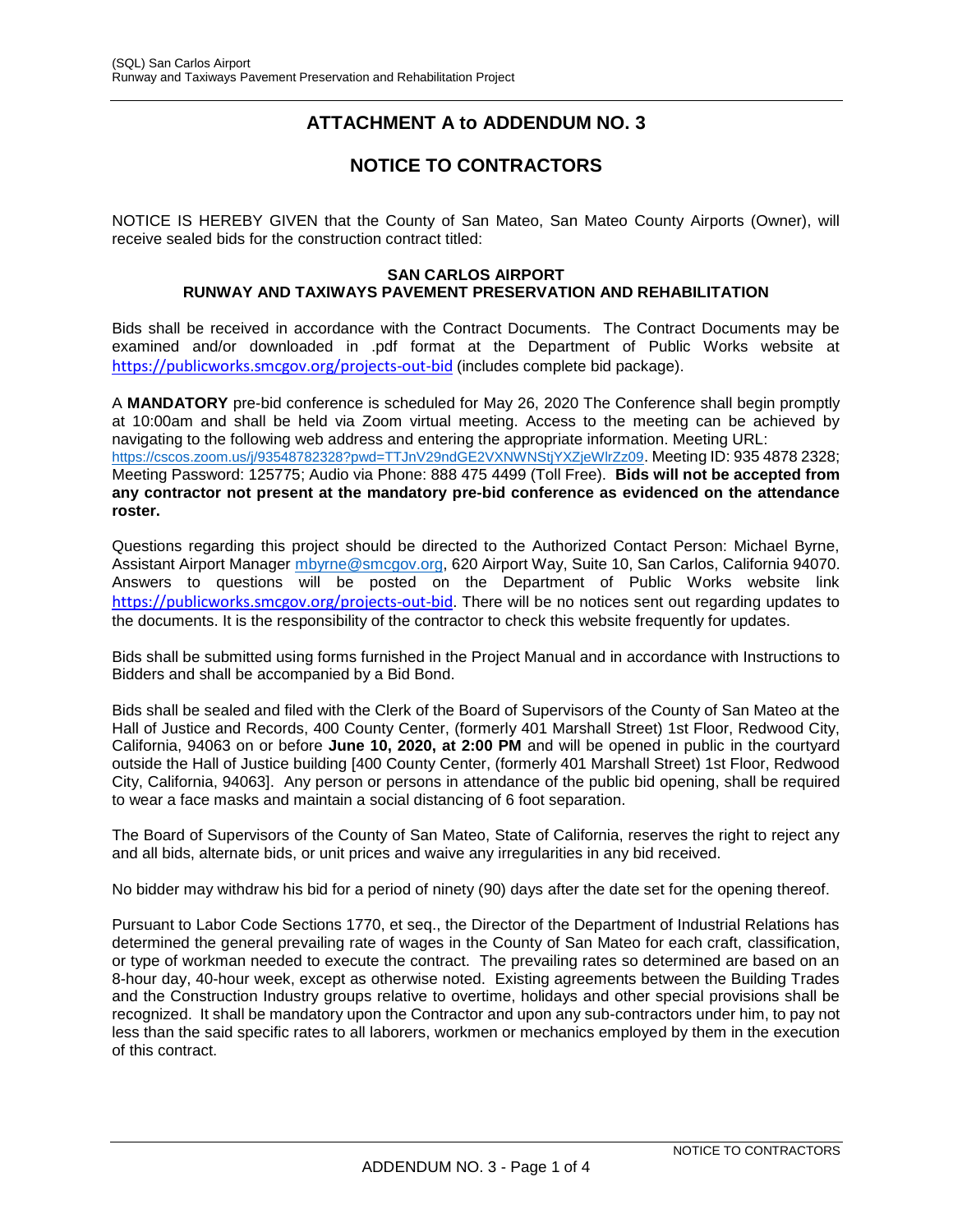# **ATTACHMENT A to ADDENDUM NO. 3**

# **NOTICE TO CONTRACTORS**

NOTICE IS HEREBY GIVEN that the County of San Mateo, San Mateo County Airports (Owner), will receive sealed bids for the construction contract titled:

#### **SAN CARLOS AIRPORT RUNWAY AND TAXIWAYS PAVEMENT PRESERVATION AND REHABILITATION**

Bids shall be received in accordance with the Contract Documents. The Contract Documents may be examined and/or downloaded in .pdf format at the Department of Public Works website at [https://publicworks.smcgov.org/projects-out-bid](https://protect-us.mimecast.com/s/yejGCpY6N9iklVXsPziLw?domain=publicworks.smcgov.org) (includes complete bid package).

A **MANDATORY** pre-bid conference is scheduled for May 26, 2020 The Conference shall begin promptly at 10:00am and shall be held via Zoom virtual meeting. Access to the meeting can be achieved by navigating to the following web address and entering the appropriate information. Meeting URL: <https://cscos.zoom.us/j/93548782328?pwd=TTJnV29ndGE2VXNWNStjYXZjeWlrZz09>. Meeting ID: 935 4878 2328; Meeting Password: 125775; Audio via Phone: 888 475 4499 (Toll Free). **Bids will not be accepted from any contractor not present at the mandatory pre-bid conference as evidenced on the attendance roster.**

Questions regarding this project should be directed to the Authorized Contact Person: Michael Byrne, Assistant Airport Manager [mbyrne@smcgov.org,](mailto:mbyrne@smcgov.org) 620 Airport Way, Suite 10, San Carlos, California 94070. Answers to questions will be posted on the Department of Public Works website link [https://publicworks.smcgov.org/projects-out-bid](https://protect-us.mimecast.com/s/yejGCpY6N9iklVXsPziLw?domain=publicworks.smcgov.org). There will be no notices sent out regarding updates to the documents. It is the responsibility of the contractor to check this website frequently for updates.

Bids shall be submitted using forms furnished in the Project Manual and in accordance with Instructions to Bidders and shall be accompanied by a Bid Bond.

Bids shall be sealed and filed with the Clerk of the Board of Supervisors of the County of San Mateo at the Hall of Justice and Records, 400 County Center, (formerly 401 Marshall Street) 1st Floor, Redwood City, California, 94063 on or before **June 10, 2020, at 2:00 PM** and will be opened in public in the courtyard outside the Hall of Justice building [400 County Center, (formerly 401 Marshall Street) 1st Floor, Redwood City, California, 94063]. Any person or persons in attendance of the public bid opening, shall be required to wear a face masks and maintain a social distancing of 6 foot separation.

The Board of Supervisors of the County of San Mateo, State of California, reserves the right to reject any and all bids, alternate bids, or unit prices and waive any irregularities in any bid received.

No bidder may withdraw his bid for a period of ninety (90) days after the date set for the opening thereof.

Pursuant to Labor Code Sections 1770, et seq., the Director of the Department of Industrial Relations has determined the general prevailing rate of wages in the County of San Mateo for each craft, classification, or type of workman needed to execute the contract. The prevailing rates so determined are based on an 8-hour day, 40-hour week, except as otherwise noted. Existing agreements between the Building Trades and the Construction Industry groups relative to overtime, holidays and other special provisions shall be recognized. It shall be mandatory upon the Contractor and upon any sub-contractors under him, to pay not less than the said specific rates to all laborers, workmen or mechanics employed by them in the execution of this contract.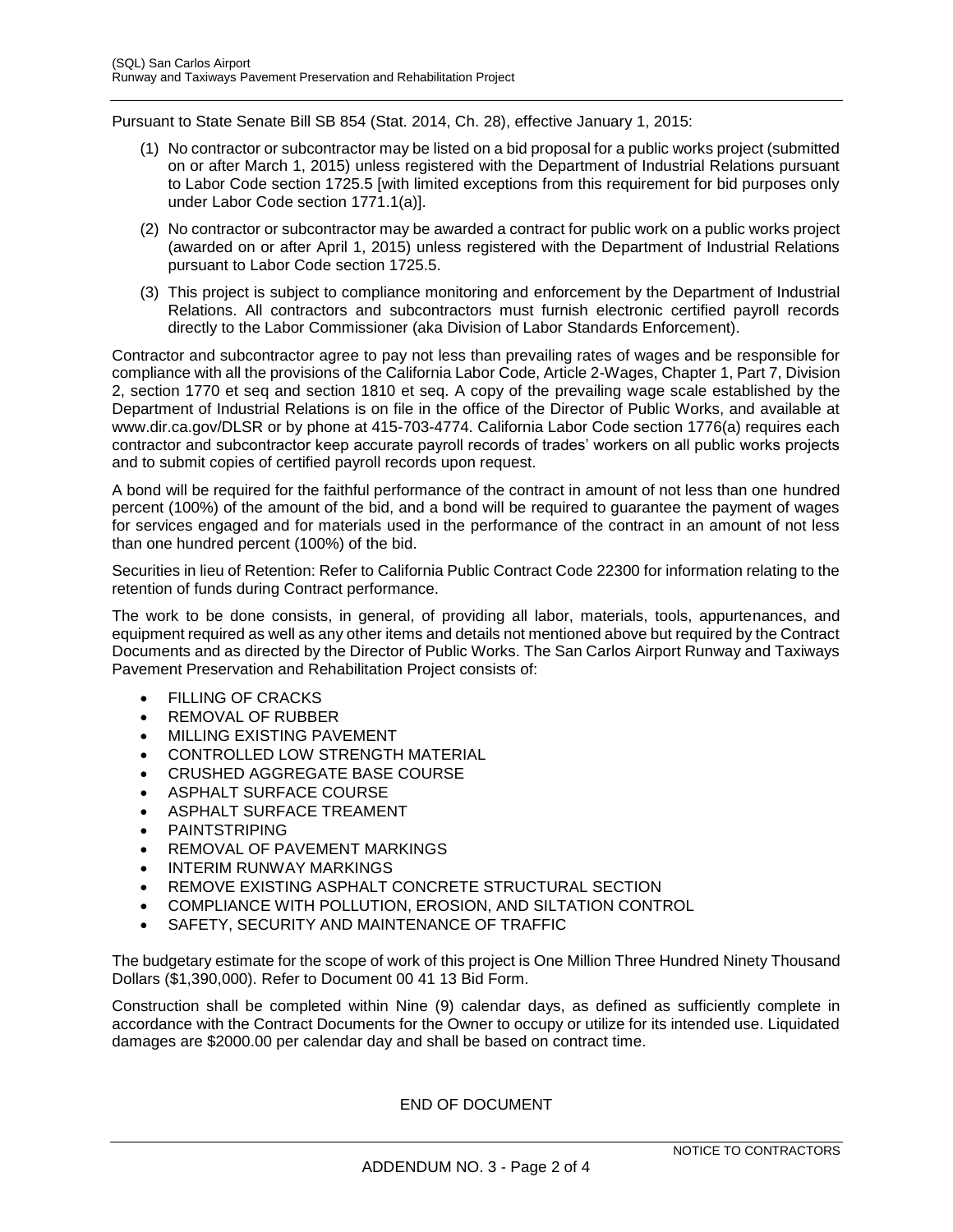Pursuant to State Senate Bill SB 854 (Stat. 2014, Ch. 28), effective January 1, 2015:

- (1) No contractor or subcontractor may be listed on a bid proposal for a public works project (submitted on or after March 1, 2015) unless registered with the Department of Industrial Relations pursuant to Labor Code section 1725.5 [with limited exceptions from this requirement for bid purposes only under Labor Code section 1771.1(a)].
- (2) No contractor or subcontractor may be awarded a contract for public work on a public works project (awarded on or after April 1, 2015) unless registered with the Department of Industrial Relations pursuant to Labor Code section 1725.5.
- (3) This project is subject to compliance monitoring and enforcement by the Department of Industrial Relations. All contractors and subcontractors must furnish electronic certified payroll records directly to the Labor Commissioner (aka Division of Labor Standards Enforcement).

Contractor and subcontractor agree to pay not less than prevailing rates of wages and be responsible for compliance with all the provisions of the California Labor Code, Article 2-Wages, Chapter 1, Part 7, Division 2, section 1770 et seq and section 1810 et seq. A copy of the prevailing wage scale established by the Department of Industrial Relations is on file in the office of the Director of Public Works, and available at www.dir.ca.gov/DLSR or by phone at 415-703-4774. California Labor Code section 1776(a) requires each contractor and subcontractor keep accurate payroll records of trades' workers on all public works projects and to submit copies of certified payroll records upon request.

A bond will be required for the faithful performance of the contract in amount of not less than one hundred percent (100%) of the amount of the bid, and a bond will be required to guarantee the payment of wages for services engaged and for materials used in the performance of the contract in an amount of not less than one hundred percent (100%) of the bid.

Securities in lieu of Retention: Refer to California Public Contract Code 22300 for information relating to the retention of funds during Contract performance.

The work to be done consists, in general, of providing all labor, materials, tools, appurtenances, and equipment required as well as any other items and details not mentioned above but required by the Contract Documents and as directed by the Director of Public Works. The San Carlos Airport Runway and Taxiways Pavement Preservation and Rehabilitation Project consists of:

- FILLING OF CRACKS
- REMOVAL OF RUBBER
- MILLING EXISTING PAVEMENT
- **CONTROLLED LOW STRENGTH MATERIAL**
- CRUSHED AGGREGATE BASE COURSE
- ASPHALT SURFACE COURSE
- ASPHALT SURFACE TREAMENT
- PAINTSTRIPING
- REMOVAL OF PAVEMENT MARKINGS
- INTERIM RUNWAY MARKINGS
- REMOVE EXISTING ASPHALT CONCRETE STRUCTURAL SECTION
- COMPLIANCE WITH POLLUTION, EROSION, AND SILTATION CONTROL
- SAFETY, SECURITY AND MAINTENANCE OF TRAFFIC

The budgetary estimate for the scope of work of this project is One Million Three Hundred Ninety Thousand Dollars (\$1,390,000). Refer to Document 00 41 13 Bid Form.

Construction shall be completed within Nine (9) calendar days, as defined as sufficiently complete in accordance with the Contract Documents for the Owner to occupy or utilize for its intended use. Liquidated damages are \$2000.00 per calendar day and shall be based on contract time.

END OF DOCUMENT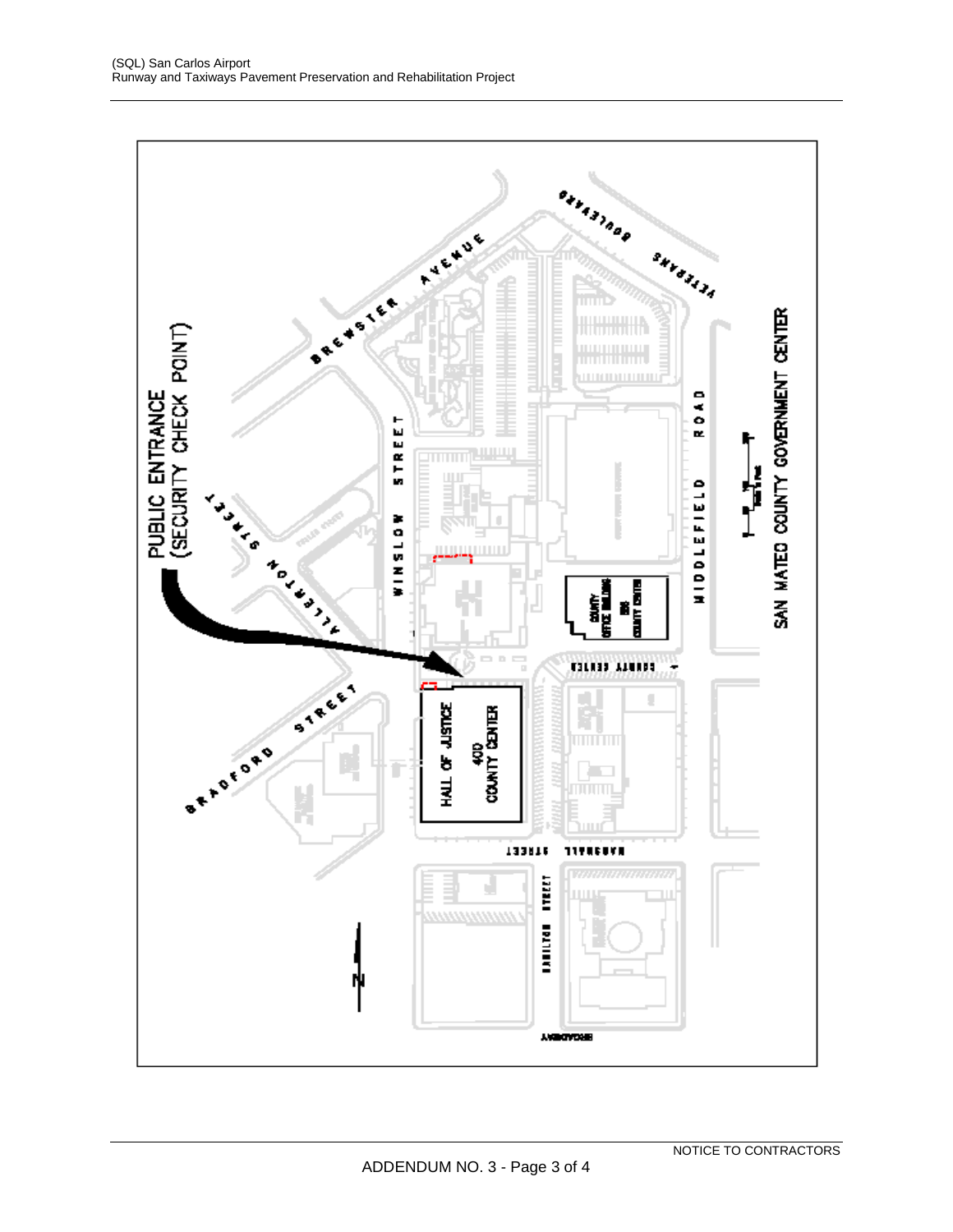